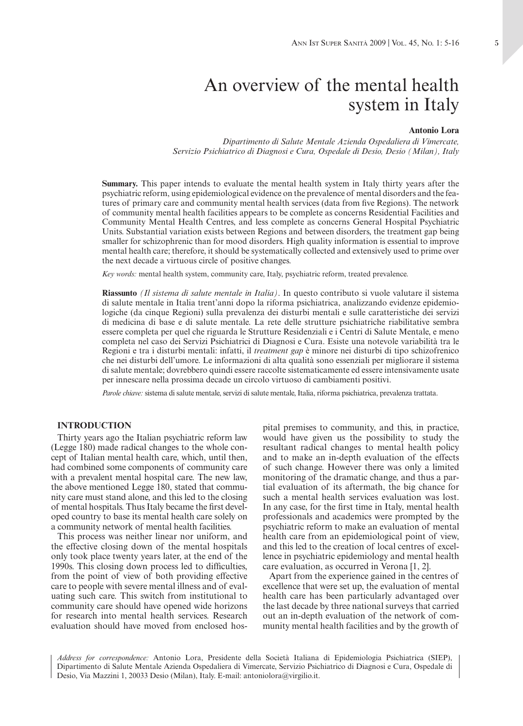# An overview of the mental health system in Italy

## **Antonio Lora**

*Dipartimento di Salute Mentale Azienda Ospedaliera di Vimercate, Servizio Psichiatrico di Diagnosi e Cura, Ospedale di Desio, Desio (Milan), Italy*

**Summary.** This paper intends to evaluate the mental health system in Italy thirty years after the psychiatric reform, using epidemiological evidence on the prevalence of mental disorders and the features of primary care and community mental health services (data from five Regions). The network of community mental health facilities appears to be complete as concerns Residential Facilities and Community Mental Health Centres, and less complete as concerns General Hospital Psychiatric Units. Substantial variation exists between Regions and between disorders, the treatment gap being smaller for schizophrenic than for mood disorders. High quality information is essential to improve mental health care; therefore, it should be systematically collected and extensively used to prime over the next decade a virtuous circle of positive changes.

*Key words:* mental health system, community care, Italy, psychiatric reform, treated prevalence.

**Riassunto** *(Il sistema di salute mentale in Italia)*. In questo contributo si vuole valutare il sistema di salute mentale in Italia trent'anni dopo la riforma psichiatrica, analizzando evidenze epidemiologiche (da cinque Regioni) sulla prevalenza dei disturbi mentali e sulle caratteristiche dei servizi di medicina di base e di salute mentale. La rete delle strutture psichiatriche riabilitative sembra essere completa per quel che riguarda le Strutture Residenziali e i Centri di Salute Mentale, e meno completa nel caso dei Servizi Psichiatrici di Diagnosi e Cura. Esiste una notevole variabilità tra le Regioni e tra i disturbi mentali: infatti, il *treatment gap* è minore nei disturbi di tipo schizofrenico che nei disturbi dell'umore. Le informazioni di alta qualità sono essenziali per migliorare il sistema di salute mentale; dovrebbero quindi essere raccolte sistematicamente ed essere intensivamente usate per innescare nella prossima decade un circolo virtuoso di cambiamenti positivi.

*Parole chiave:* sistema di salute mentale, servizi di salute mentale, Italia, riforma psichiatrica, prevalenza trattata.

#### **INTRODUCTION**

Thirty years ago the Italian psychiatric reform law (Legge 180) made radical changes to the whole concept of Italian mental health care, which, until then, had combined some components of community care with a prevalent mental hospital care. The new law, the above mentioned Legge 180, stated that community care must stand alone, and this led to the closing of mental hospitals. Thus Italy became the first developed country to base its mental health care solely on a community network of mental health facilities.

This process was neither linear nor uniform, and the effective closing down of the mental hospitals only took place twenty years later, at the end of the 1990s. This closing down process led to difficulties, from the point of view of both providing effective care to people with severe mental illness and of evaluating such care. This switch from institutional to community care should have opened wide horizons for research into mental health services. Research evaluation should have moved from enclosed hospital premises to community, and this, in practice, would have given us the possibility to study the resultant radical changes to mental health policy and to make an in-depth evaluation of the effects of such change. However there was only a limited monitoring of the dramatic change, and thus a partial evaluation of its aftermath, the big chance for such a mental health services evaluation was lost. In any case, for the first time in Italy, mental health professionals and academics were prompted by the psychiatric reform to make an evaluation of mental health care from an epidemiological point of view, and this led to the creation of local centres of excellence in psychiatric epidemiology and mental health care evaluation, as occurred in Verona [1, 2].

Apart from the experience gained in the centres of excellence that were set up, the evaluation of mental health care has been particularly advantaged over the last decade by three national surveys that carried out an in-depth evaluation of the network of community mental health facilities and by the growth of

*Address for correspondence:* Antonio Lora, Presidente della Società Italiana di Epidemiologia Psichiatrica (SIEP), Dipartimento di Salute Mentale Azienda Ospedaliera di Vimercate, Servizio Psichiatrico di Diagnosi e Cura, Ospedale di Desio, Via Mazzini 1, 20033 Desio (Milan), Italy. E-mail: antoniolora@virgilio.it.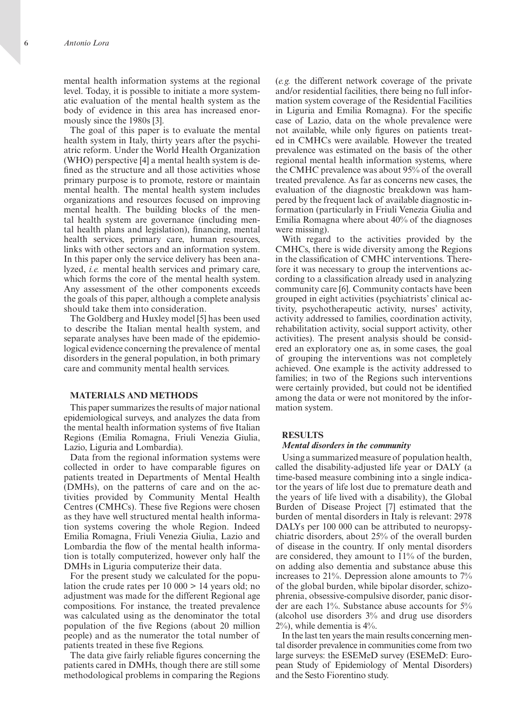mental health information systems at the regional level. Today, it is possible to initiate a more systematic evaluation of the mental health system as the body of evidence in this area has increased enormously since the 1980s [3].

The goal of this paper is to evaluate the mental health system in Italy, thirty years after the psychiatric reform. Under the World Health Organization (WHO) perspective [4] a mental health system is defined as the structure and all those activities whose primary purpose is to promote, restore or maintain mental health. The mental health system includes organizations and resources focused on improving mental health. The building blocks of the mental health system are governance (including mental health plans and legislation), financing, mental health services, primary care, human resources, links with other sectors and an information system. In this paper only the service delivery has been analyzed, *i.e.* mental health services and primary care, which forms the core of the mental health system. Any assessment of the other components exceeds the goals of this paper, although a complete analysis should take them into consideration.

The Goldberg and Huxley model [5] has been used to describe the Italian mental health system, and separate analyses have been made of the epidemiological evidence concerning the prevalence of mental disorders in the general population, in both primary care and community mental health services.

## **MATERIALS AND METHODS**

This paper summarizes the results of major national epidemiological surveys, and analyzes the data from the mental health information systems of five Italian Regions (Emilia Romagna, Friuli Venezia Giulia, Lazio, Liguria and Lombardia).

Data from the regional information systems were collected in order to have comparable figures on patients treated in Departments of Mental Health (DMHs), on the patterns of care and on the activities provided by Community Mental Health Centres (CMHCs). These five Regions were chosen as they have well structured mental health information systems covering the whole Region. Indeed Emilia Romagna, Friuli Venezia Giulia, Lazio and Lombardia the flow of the mental health information is totally computerized, however only half the DMHs in Liguria computerize their data.

For the present study we calculated for the population the crude rates per 10 000 > 14 years old; no adjustment was made for the different Regional age compositions. For instance, the treated prevalence was calculated using as the denominator the total population of the five Regions (about 20 million people) and as the numerator the total number of patients treated in these five Regions.

The data give fairly reliable figures concerning the patients cared in DMHs, though there are still some methodological problems in comparing the Regions

(*e.g.* the different network coverage of the private and/or residential facilities, there being no full information system coverage of the Residential Facilities in Liguria and Emilia Romagna). For the specific case of Lazio, data on the whole prevalence were not available, while only figures on patients treated in CMHCs were available. However the treated prevalence was estimated on the basis of the other regional mental health information systems, where the CMHC prevalence was about 95% of the overall treated prevalence. As far as concerns new cases, the evaluation of the diagnostic breakdown was hampered by the frequent lack of available diagnostic information (particularly in Friuli Venezia Giulia and Emilia Romagna where about 40% of the diagnoses were missing).

With regard to the activities provided by the CMHCs, there is wide diversity among the Regions in the classification of CMHC interventions. Therefore it was necessary to group the interventions according to a classification already used in analyzing community care [6]. Community contacts have been grouped in eight activities (psychiatrists' clinical activity, psychotherapeutic activity, nurses' activity, activity addressed to families, coordination activity, rehabilitation activity, social support activity, other activities). The present analysis should be considered an exploratory one as, in some cases, the goal of grouping the interventions was not completely achieved. One example is the activity addressed to families; in two of the Regions such interventions were certainly provided, but could not be identified among the data or were not monitored by the information system.

#### **RESULTS**

#### *Mental disorders in the community*

Using a summarized measure of population health, called the disability-adjusted life year or DALY (a time-based measure combining into a single indicator the years of life lost due to premature death and the years of life lived with a disability), the Global Burden of Disease Project [7] estimated that the burden of mental disorders in Italy is relevant: 2978 DALYs per 100 000 can be attributed to neuropsychiatric disorders, about 25% of the overall burden of disease in the country. If only mental disorders are considered, they amount to 11% of the burden, on adding also dementia and substance abuse this increases to 21%. Depression alone amounts to 7% of the global burden, while bipolar disorder, schizophrenia, obsessive-compulsive disorder, panic disorder are each 1%. Substance abuse accounts for 5% (alcohol use disorders 3% and drug use disorders 2%), while dementia is 4%.

In the last ten years the main results concerning mental disorder prevalence in communities come from two large surveys: the ESEMeD survey (ESEMeD: European Study of Epidemiology of Mental Disorders) and the Sesto Fiorentino study.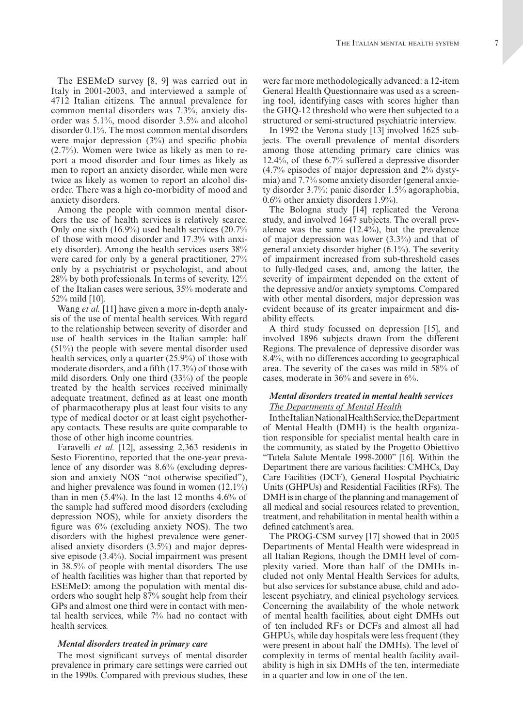The ESEMeD survey [8, 9] was carried out in Italy in 2001-2003, and interviewed a sample of 4712 Italian citizens. The annual prevalence for common mental disorders was 7.3%, anxiety disorder was 5.1%, mood disorder 3.5% and alcohol disorder 0.1%. The most common mental disorders were major depression (3%) and specific phobia (2.7%). Women were twice as likely as men to report a mood disorder and four times as likely as men to report an anxiety disorder, while men were twice as likely as women to report an alcohol disorder. There was a high co-morbidity of mood and anxiety disorders.

Among the people with common mental disorders the use of health services is relatively scarce. Only one sixth (16.9%) used health services (20.7% of those with mood disorder and 17.3% with anxiety disorder). Among the health services users 38% were cared for only by a general practitioner, 27% only by a psychiatrist or psychologist, and about 28% by both professionals. In terms of severity, 12% of the Italian cases were serious, 35% moderate and 52% mild [10].

Wang *et al.* [11] have given a more in-depth analysis of the use of mental health services. With regard to the relationship between severity of disorder and use of health services in the Italian sample: half (51%) the people with severe mental disorder used health services, only a quarter (25.9%) of those with moderate disorders, and a fifth (17.3%) of those with mild disorders. Only one third (33%) of the people treated by the health services received minimally adequate treatment, defined as at least one month of pharmacotherapy plus at least four visits to any type of medical doctor or at least eight psychotherapy contacts. These results are quite comparable to those of other high income countries.

Faravelli *et al.* [12], assessing 2,363 residents in Sesto Fiorentino, reported that the one-year prevalence of any disorder was 8.6% (excluding depression and anxiety NOS "not otherwise specified"), and higher prevalence was found in women (12.1%) than in men  $(5.4\%)$ . In the last 12 months 4.6% of the sample had suffered mood disorders (excluding depression NOS), while for anxiety disorders the figure was 6% (excluding anxiety NOS). The two disorders with the highest prevalence were generalised anxiety disorders (3.5%) and major depressive episode (3.4%). Social impairment was present in 38.5% of people with mental disorders. The use of health facilities was higher than that reported by ESEMeD: among the population with mental disorders who sought help 87% sought help from their GPs and almost one third were in contact with mental health services, while 7% had no contact with health services.

#### *Mental disorders treated in primary care*

The most significant surveys of mental disorder prevalence in primary care settings were carried out in the 1990s. Compared with previous studies, these

were far more methodologically advanced: a 12-item General Health Questionnaire was used as a screening tool, identifying cases with scores higher than the GHQ-12 threshold who were then subjected to a structured or semi-structured psychiatric interview.

In 1992 the Verona study [13] involved 1625 subjects. The overall prevalence of mental disorders among those attending primary care clinics was 12.4%, of these 6.7% suffered a depressive disorder (4.7% episodes of major depression and 2% dystymia) and 7.7% some anxiety disorder (general anxiety disorder 3.7%; panic disorder 1.5% agoraphobia, 0.6% other anxiety disorders 1.9%).

The Bologna study [14] replicated the Verona study, and involved 1647 subjects. The overall prevalence was the same (12.4%), but the prevalence of major depression was lower (3.3%) and that of general anxiety disorder higher (6.1%). The severity of impairment increased from sub-threshold cases to fully-fledged cases, and, among the latter, the severity of impairment depended on the extent of the depressive and/or anxiety symptoms. Compared with other mental disorders, major depression was evident because of its greater impairment and disability effects.

A third study focussed on depression [15], and involved 1896 subjects drawn from the different Regions. The prevalence of depressive disorder was 8.4%, with no differences according to geographical area. The severity of the cases was mild in 58% of cases, moderate in 36% and severe in 6%.

## *Mental disorders treated in mental health services The Departments of Mental Health*

In the Italian National Health Service, the Department of Mental Health (DMH) is the health organization responsible for specialist mental health care in the community, as stated by the Progetto Obiettivo "Tutela Salute Mentale 1998-2000" [16]. Within the Department there are various facilities: CMHCs, Day Care Facilities (DCF), General Hospital Psychiatric Units (GHPUs) and Residential Facilities (RFs). The DMH is in charge of the planning and management of all medical and social resources related to prevention, treatment, and rehabilitation in mental health within a defined catchment's area.

The PROG-CSM survey [17] showed that in 2005 Departments of Mental Health were widespread in all Italian Regions, though the DMH level of complexity varied. More than half of the DMHs included not only Mental Health Services for adults, but also services for substance abuse, child and adolescent psychiatry, and clinical psychology services. Concerning the availability of the whole network of mental health facilities, about eight DMHs out of ten included RFs or DCFs and almost all had GHPUs, while day hospitals were less frequent (they were present in about half the DMHs). The level of complexity in terms of mental health facility availability is high in six DMHs of the ten, intermediate in a quarter and low in one of the ten.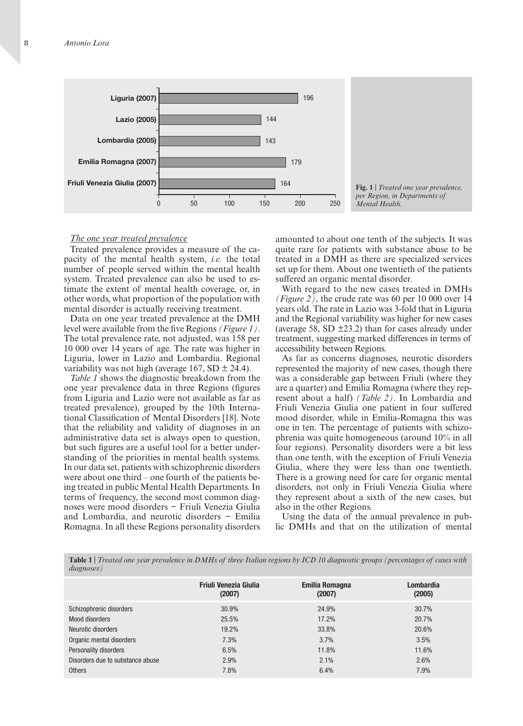

#### *The one year treated prevalence*

Treated prevalence provides a measure of the capacity of the mental health system, *i.e.* the total number of people served within the mental health system. Treated prevalence can also be used to estimate the extent of mental health coverage, or, in other words, what proportion of the population with mental disorder is actually receiving treatment.

Data on one year treated prevalence at the DMH level were available from the five Regions *(Figure 1)*. The total prevalence rate, not adjusted, was 158 per 10 000 over 14 years of age. The rate was higher in Liguria, lower in Lazio and Lombardia. Regional variability was not high (average  $167$ , SD  $\pm$  24.4).

*Table 1* shows the diagnostic breakdown from the one year prevalence data in three Regions (figures from Liguria and Lazio were not available as far as treated prevalence), grouped by the 10th international Classification of Mental Disorders [18]. Note that the reliability and validity of diagnoses in an administrative data set is always open to question, but such figures are a useful tool for a better understanding of the priorities in mental health systems. In our data set, patients with schizophrenic disorders were about one third – one fourth of the patients being treated in public Mental Health Departments. In terms of frequency, the second most common diagnoses were mood disorders − Friuli Venezia Giulia and Lombardia, and neurotic disorders − Emilia Romagna. In all these Regions personality disorders amounted to about one tenth of the subjects. It was quite rare for patients with substance abuse to be treated in a DMH as there are specialized services set up for them. About one twentieth of the patients suffered an organic mental disorder.

With regard to the new cases treated in DMHs *(Figure 2)*, the crude rate was 60 per 10 000 over 14 years old. The rate in Lazio was 3-fold that in Liguria and the Regional variability was higher for new cases (average 58, SD  $\pm$ 23.2) than for cases already under treatment, suggesting marked differences in terms of accessibility between Regions.

As far as concerns diagnoses, neurotic disorders represented the majority of new cases, though there was a considerable gap between Friuli (where they are a quarter) and Emilia Romagna (where they represent about a half) *(Table 2)*. In Lombardia and Friuli Venezia Giulia one patient in four suffered mood disorder, while in Emilia-Romagna this was one in ten. The percentage of patients with schizophrenia was quite homogeneous (around 10% in all four regions). Personality disorders were a bit less than one tenth, with the exception of Friuli Venezia Giulia, where they were less than one twentieth. There is a growing need for care for organic mental disorders, not only in Friuli Venezia Giulia where they represent about a sixth of the new cases, but also in the other Regions.

Using the data of the annual prevalence in public DMHs and that on the utilization of mental

**Table 1** | *Treated one year prevalence in DMHs of three Italian regions by ICD 10 diagnostic groups (percentages of cases with diagnoses)*

|                                  | <b>Friuli Venezia Giulia</b><br>(2007) | <b>Emilia Romagna</b><br>(2007) | Lombardia<br>(2005) |
|----------------------------------|----------------------------------------|---------------------------------|---------------------|
| Schizophrenic disorders          | 30.9%                                  | 24.9%                           | 30.7%               |
| Mood disorders                   | 25.5%                                  | 17.2%                           | 20.7%               |
| Neurotic disorders               | 19.2%                                  | 33.8%                           | 20.6%               |
| Organic mental disorders         | 7.3%                                   | 3.7%                            | 3.5%                |
| Personality disorders            | 6.5%                                   | 11.8%                           | 11.6%               |
| Disorders due to substance abuse | 2.9%                                   | 2.1%                            | 2.6%                |
| <b>Others</b>                    | 7.8%                                   | 6.4%                            | 7.9%                |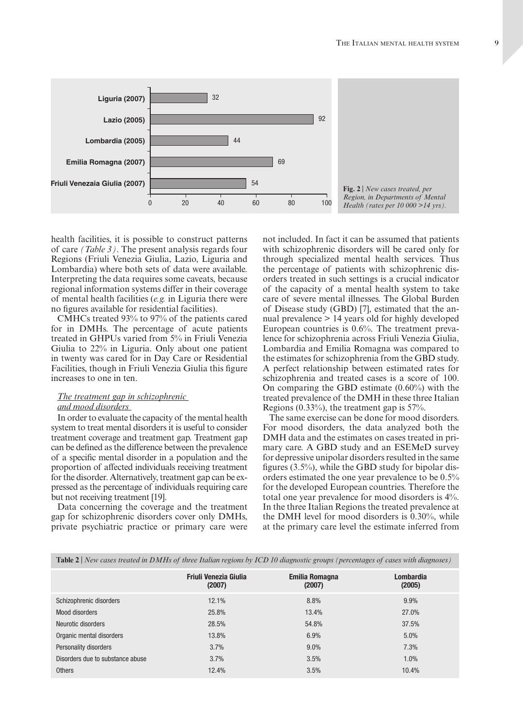

health facilities, it is possible to construct patterns of care *(Table 3)*. The present analysis regards four Regions (Friuli Venezia Giulia, Lazio, Liguria and Lombardia) where both sets of data were available. Interpreting the data requires some caveats, because regional information systems differ in their coverage of mental health facilities (*e.g.* in Liguria there were no figures available for residential facilities).

CMHCs treated 93% to 97% of the patients cared for in DMHs. The percentage of acute patients treated in GHPUs varied from 5% in Friuli Venezia Giulia to 22% in Liguria. Only about one patient in twenty was cared for in Day Care or Residential Facilities, though in Friuli Venezia Giulia this figure increases to one in ten.

## *The treatment gap in schizophrenic and mood disorders*

In order to evaluate the capacity of the mental health system to treat mental disorders it is useful to consider treatment coverage and treatment gap. Treatment gap can be defined as the difference between the prevalence of a specific mental disorder in a population and the proportion of affected individuals receiving treatment for the disorder. Alternatively, treatment gap can be expressed as the percentage of individuals requiring care but not receiving treatment [19].

Data concerning the coverage and the treatment gap for schizophrenic disorders cover only DMHs, private psychiatric practice or primary care were

not included. In fact it can be assumed that patients with schizophrenic disorders will be cared only for through specialized mental health services. Thus the percentage of patients with schizophrenic disorders treated in such settings is a crucial indicator of the capacity of a mental health system to take care of severe mental illnesses. The Global Burden of Disease study (GBD) [7], estimated that the annual prevalence > 14 years old for highly developed European countries is 0.6%. The treatment prevalence for schizophrenia across Friuli Venezia Giulia, Lombardia and Emilia Romagna was compared to the estimates for schizophrenia from the GBD study. A perfect relationship between estimated rates for schizophrenia and treated cases is a score of 100. On comparing the GBD estimate (0.60%) with the treated prevalence of the DMH in these three Italian Regions (0.33%), the treatment gap is 57%.

The same exercise can be done for mood disorders. For mood disorders, the data analyzed both the DMH data and the estimates on cases treated in primary care. A GBD study and an ESEMeD survey for depressive unipolar disorders resulted in the same figures (3.5%), while the GBD study for bipolar disorders estimated the one year prevalence to be 0.5% for the developed European countries. Therefore the total one year prevalence for mood disorders is 4%. In the three Italian Regions the treated prevalence at the DMH level for mood disorders is 0.30%, while at the primary care level the estimate inferred from

| Table 2   New cases treated in DMHs of three Italian regions by ICD 10 diagnostic groups (percentages of cases with diagnoses) |
|--------------------------------------------------------------------------------------------------------------------------------|
|--------------------------------------------------------------------------------------------------------------------------------|

|                                  | <b>Friuli Venezia Giulia</b><br>(2007) | Emilia Romagna<br>(2007) | Lombardia<br>(2005) |
|----------------------------------|----------------------------------------|--------------------------|---------------------|
| Schizophrenic disorders          | 12.1%                                  | 8.8%                     | 9.9%                |
| Mood disorders                   | 25.8%                                  | 13.4%                    | 27.0%               |
| Neurotic disorders               | 28.5%                                  | 54.8%                    | 37.5%               |
| Organic mental disorders         | 13.8%                                  | 6.9%                     | 5.0%                |
| Personality disorders            | 3.7%                                   | 9.0%                     | 7.3%                |
| Disorders due to substance abuse | 3.7%                                   | 3.5%                     | 1.0%                |
| <b>Others</b>                    | 12.4%                                  | 3.5%                     | 10.4%               |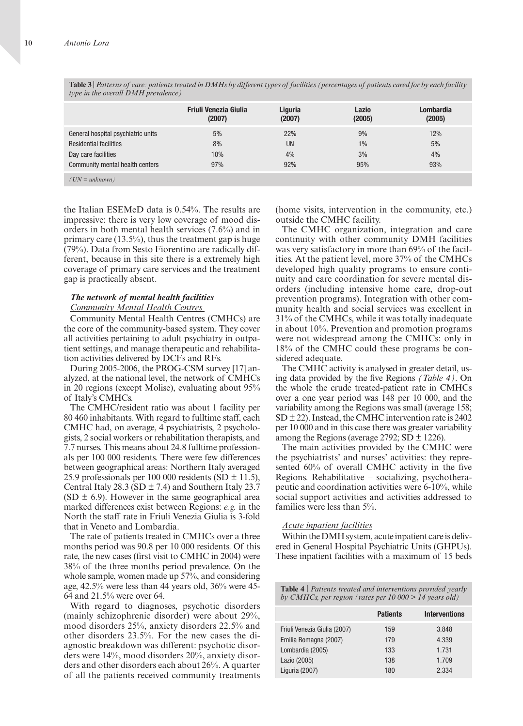**Table 3** | *Patterns of care: patients treated in dmhs by different types of facilities (percentages of patients cared for by each facility type in the overall DMH prevalence*)

|                                    | <b>Friuli Venezia Giulia</b> | Liguria   | Lazio  | Lombardia |
|------------------------------------|------------------------------|-----------|--------|-----------|
|                                    | (2007)                       | (2007)    | (2005) | (2005)    |
| General hospital psychiatric units | 5%                           | 22%       | 9%     | 12%       |
| <b>Residential facilities</b>      | 8%                           | <b>UN</b> | $1\%$  | 5%        |
| Day care facilities                | 10%                          | 4%        | 3%     | 4%        |
| Community mental health centers    | 97%                          | 92%       | 95%    | 93%       |
| $(UN = unknown)$                   |                              |           |        |           |

the Italian ESEMeD data is 0.54%. The results are impressive: there is very low coverage of mood disorders in both mental health services (7.6%) and in primary care (13.5%), thus the treatment gap is huge (79%). Data from Sesto Fiorentino are radically different, because in this site there is a extremely high coverage of primary care services and the treatment gap is practically absent.

## *The network of mental health facilities Community mental health centres*

Community Mental Health Centres (CMHCs) are the core of the community-based system. They cover all activities pertaining to adult psychiatry in outpatient settings, and manage therapeutic and rehabilitation activities delivered by DCFs and RFs.

During 2005-2006, the PROG-CSM survey [17] analyzed, at the national level, the network of CMHCs in 20 regions (except Molise), evaluating about 95% of Italy's CMHCs.

The CMHC/resident ratio was about 1 facility per 80 460 inhabitants. With regard to fulltime staff, each CMHC had, on average, 4 psychiatrists, 2 psychologists, 2 social workers or rehabilitation therapists, and 7.7 nurses. This means about 24.8 fulltime professionals per 100 000 residents. There were few differences between geographical areas: Northern Italy averaged 25.9 professionals per 100 000 residents (SD  $\pm$  11.5), Central Italy 28.3 (SD  $\pm$  7.4) and Southern Italy 23.7  $(SD \pm 6.9)$ . However in the same geographical area marked differences exist between Regions: *e.g.* in the North the staff rate in Friuli Venezia Giulia is 3-fold that in Veneto and Lombardia.

The rate of patients treated in CMHCs over a three months period was 90.8 per 10 000 residents. Of this rate, the new cases (first visit to CMHC in 2004) were 38% of the three months period prevalence. On the whole sample, women made up 57%, and considering age, 42.5% were less than 44 years old, 36% were 45- 64 and 21.5% were over 64.

With regard to diagnoses, psychotic disorders (mainly schizophrenic disorder) were about 29%, mood disorders 25%, anxiety disorders 22.5% and other disorders 23.5%. For the new cases the diagnostic breakdown was different: psychotic disorders were 14%, mood disorders 20%, anxiety disorders and other disorders each about 26%. A quarter of all the patients received community treatments (home visits, intervention in the community, etc.) outside the CMHC facility.

The CMHC organization, integration and care continuity with other community DMH facilities was very satisfactory in more than 69% of the facilities. At the patient level, more 37% of the CMHCs developed high quality programs to ensure continuity and care coordination for severe mental disorders (including intensive home care, drop-out prevention programs). Integration with other community health and social services was excellent in 31% of the CMHCs, while it was totally inadequate in about 10%. Prevention and promotion programs were not widespread among the CMHCs: only in 18% of the CMHC could these programs be considered adequate.

The CMHC activity is analysed in greater detail, using data provided by the five Regions *(Table 4)*. On the whole the crude treated-patient rate in CMHCs over a one year period was 148 per 10 000, and the variability among the Regions was small (average 158;  $SD \pm 22$ ). Instead, the CMHC intervention rate is 2402 per 10 000 and in this case there was greater variability among the Regions (average 2792; SD  $\pm$  1226).

The main activities provided by the CMHC were the psychiatrists' and nurses' activities: they represented 60% of overall CMHC activity in the five Regions. Rehabilitative – socializing, psychotherapeutic and coordination activities were 6-10%, while social support activities and activities addressed to families were less than 5%.

#### *Acute inpatient facilities*

Within the DMH system, acute inpatient care is delivered in General Hospital Psychiatric Units (GHPUs). These inpatient facilities with a maximum of 15 beds

**Table 4** | *Patients treated and interventions provided yearly by cmhcs, per region (rates per 10 000 > 14 years old)*

|                              | <b>Patients</b> | <b>Interventions</b> |
|------------------------------|-----------------|----------------------|
| Friuli Venezia Giulia (2007) | 159             | 3.848                |
| Emilia Romagna (2007)        | 179             | 4.339                |
| Lombardia (2005)             | 133             | 1.731                |
| Lazio (2005)                 | 138             | 1.709                |
| Liguria (2007)               | 180             | 2.334                |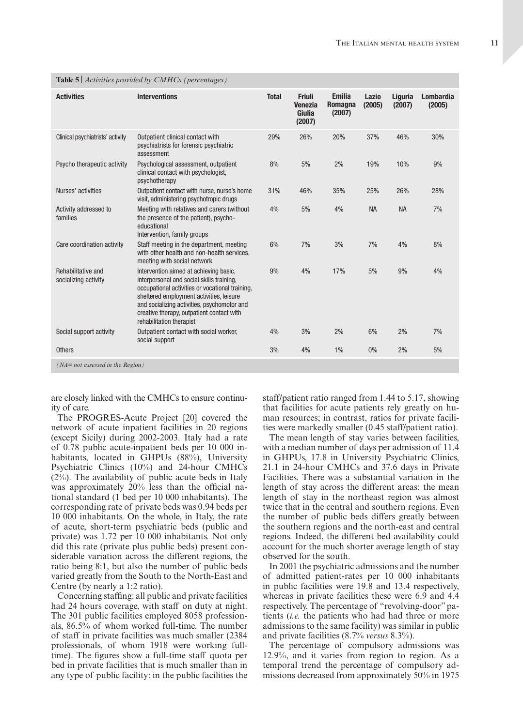| <b>Activities</b>                          | <b>Interventions</b>                                                                                                                                                                                                                                                                                       | <b>Total</b> | <b>Friuli</b><br><b>Venezia</b><br>Giulia<br>(2007) | <b>Emilia</b><br>Romagna<br>(2007) | Lazio<br>(2005) | Liguria<br>(2007) | <b>Lombardia</b><br>(2005) |
|--------------------------------------------|------------------------------------------------------------------------------------------------------------------------------------------------------------------------------------------------------------------------------------------------------------------------------------------------------------|--------------|-----------------------------------------------------|------------------------------------|-----------------|-------------------|----------------------------|
| Clinical psychiatrists' activity           | Outpatient clinical contact with<br>psychiatrists for forensic psychiatric<br>assessment                                                                                                                                                                                                                   | 29%          | 26%                                                 | 20%                                | 37%             | 46%               | 30%                        |
| Psycho therapeutic activity                | Psychological assessment, outpatient<br>clinical contact with psychologist,<br>psychotherapy                                                                                                                                                                                                               | 8%           | 5%                                                  | 2%                                 | 19%             | 10%               | 9%                         |
| Nurses' activities                         | Outpatient contact with nurse, nurse's home<br>visit, administering psychotropic drugs                                                                                                                                                                                                                     | 31%          | 46%                                                 | 35%                                | 25%             | 26%               | 28%                        |
| Activity addressed to<br>families          | Meeting with relatives and carers (without<br>the presence of the patient), psycho-<br>educational<br>Intervention, family groups                                                                                                                                                                          | 4%           | 5%                                                  | 4%                                 | <b>NA</b>       | <b>NA</b>         | 7%                         |
| Care coordination activity                 | Staff meeting in the department, meeting<br>with other health and non-health services,<br>meeting with social network                                                                                                                                                                                      | 6%           | 7%                                                  | 3%                                 | 7%              | 4%                | 8%                         |
| Rehabilitative and<br>socializing activity | Intervention aimed at achieving basic,<br>interpersonal and social skills training,<br>occupational activities or vocational training,<br>sheltered employment activities, leisure<br>and socializing activities, psychomotor and<br>creative therapy, outpatient contact with<br>rehabilitation therapist | 9%           | 4%                                                  | 17%                                | 5%              | 9%                | 4%                         |
| Social support activity                    | Outpatient contact with social worker,<br>social support                                                                                                                                                                                                                                                   | 4%           | 3%                                                  | 2%                                 | 6%              | 2%                | 7%                         |
| <b>Others</b>                              |                                                                                                                                                                                                                                                                                                            | 3%           | 4%                                                  | $1\%$                              | $0\%$           | 2%                | 5%                         |
| $(NA = not assessed in the Region)$        |                                                                                                                                                                                                                                                                                                            |              |                                                     |                                    |                 |                   |                            |

**Table 5** | *Activities provided by cmhcs (percentages)*

are closely linked with the CMHCs to ensure continuity of care.

The PROGRES-Acute Project [20] covered the network of acute inpatient facilities in 20 regions (except Sicily) during 2002-2003. Italy had a rate of 0.78 public acute-inpatient beds per 10 000 inhabitants, located in GHPUs (88%), University Psychiatric Clinics (10%) and 24-hour CMHCs (2%). The availability of public acute beds in Italy was approximately 20% less than the official national standard (1 bed per 10 000 inhabitants). The corresponding rate of private beds was 0.94 beds per 10 000 inhabitants. On the whole, in Italy, the rate of acute, short-term psychiatric beds (public and private) was 1.72 per 10 000 inhabitants. Not only did this rate (private plus public beds) present considerable variation across the different regions, the ratio being 8:1, but also the number of public beds varied greatly from the South to the North-East and Centre (by nearly a 1:2 ratio).

Concerning staffing: all public and private facilities had 24 hours coverage, with staff on duty at night. The 301 public facilities employed 8058 professionals, 86.5% of whom worked full-time. The number of staff in private facilities was much smaller (2384 professionals, of whom 1918 were working fulltime). The figures show a full-time staff quota per bed in private facilities that is much smaller than in any type of public facility: in the public facilities the staff/patient ratio ranged from 1.44 to 5.17, showing that facilities for acute patients rely greatly on human resources; in contrast, ratios for private facilities were markedly smaller (0.45 staff/patient ratio).

The mean length of stay varies between facilities, with a median number of days per admission of 11.4 in GHPUs, 17.8 in University Psychiatric Clinics, 21.1 in 24-hour CMHCs and 37.6 days in Private Facilities. There was a substantial variation in the length of stay across the different areas: the mean length of stay in the northeast region was almost twice that in the central and southern regions. Even the number of public beds differs greatly between the southern regions and the north-east and central regions. Indeed, the different bed availability could account for the much shorter average length of stay observed for the south.

In 2001 the psychiatric admissions and the number of admitted patient-rates per 10 000 inhabitants in public facilities were 19.8 and 13.4 respectively, whereas in private facilities these were 6.9 and 4.4 respectively. The percentage of "revolving-door" patients (*i.e.* the patients who had had three or more admissions to the same facility) was similar in public and private facilities (8.7% *versus* 8.3%).

The percentage of compulsory admissions was 12.9%, and it varies from region to region. As a temporal trend the percentage of compulsory admissions decreased from approximately 50% in 1975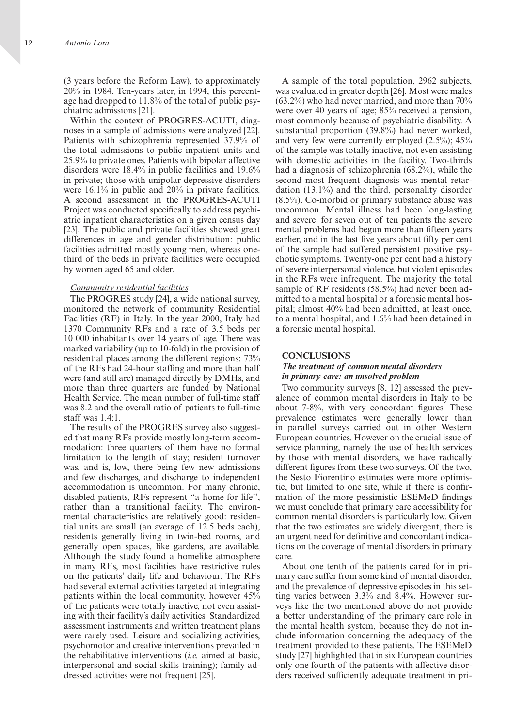(3 years before the Reform Law), to approximately 20% in 1984. Ten-years later, in 1994, this percentage had dropped to 11.8% of the total of public psychiatric admissions [21].

Within the context of PROGRES-ACUTI, diagnoses in a sample of admissions were analyzed [22]. Patients with schizophrenia represented 37.9% of the total admissions to public inpatient units and 25.9% to private ones. Patients with bipolar affective disorders were 18.4% in public facilities and 19.6% in private; those with unipolar depressive disorders were 16.1% in public and 20% in private facilities. A second assessment in the PROGRES-ACUTI Project was conducted specifically to address psychiatric inpatient characteristics on a given census day [23]. The public and private facilities showed great differences in age and gender distribution: public facilities admitted mostly young men, whereas onethird of the beds in private facilities were occupied by women aged 65 and older.

#### *Community residential facilities*

The PROGRES study [24], a wide national survey, monitored the network of community Residential Facilities (RF) in Italy. In the year 2000, Italy had 1370 Community RFs and a rate of 3.5 beds per 10 000 inhabitants over 14 years of age. There was marked variability (up to 10-fold) in the provision of residential places among the different regions: 73% of the RFs had 24-hour staffing and more than half were (and still are) managed directly by DMHs, and more than three quarters are funded by National Health Service. The mean number of full-time staff was 8.2 and the overall ratio of patients to full-time staff was 1.4:1.

The results of the PROGRES survey also suggested that many RFs provide mostly long-term accommodation: three quarters of them have no formal limitation to the length of stay; resident turnover was, and is, low, there being few new admissions and few discharges, and discharge to independent accommodation is uncommon. For many chronic, disabled patients, RFs represent "a home for life" rather than a transitional facility. The environmental characteristics are relatively good: residential units are small (an average of 12.5 beds each), residents generally living in twin-bed rooms, and generally open spaces, like gardens, are available. Although the study found a homelike atmosphere in many RFs, most facilities have restrictive rules on the patients' daily life and behaviour. The RFs had several external activities targeted at integrating patients within the local community, however 45% of the patients were totally inactive, not even assisting with their facility's daily activities. Standardized assessment instruments and written treatment plans were rarely used. Leisure and socializing activities, psychomotor and creative interventions prevailed in the rehabilitative interventions (*i.e.* aimed at basic, interpersonal and social skills training); family addressed activities were not frequent [25].

A sample of the total population, 2962 subjects, was evaluated in greater depth [26]. Most were males (63.2%) who had never married, and more than 70% were over 40 years of age; 85% received a pension, most commonly because of psychiatric disability. A substantial proportion (39.8%) had never worked, and very few were currently employed  $(2.5\%)$ ;  $45\%$ of the sample was totally inactive, not even assisting with domestic activities in the facility. Two-thirds had a diagnosis of schizophrenia (68.2%), while the second most frequent diagnosis was mental retardation (13.1%) and the third, personality disorder (8.5%). Co-morbid or primary substance abuse was uncommon. Mental illness had been long-lasting and severe: for seven out of ten patients the severe mental problems had begun more than fifteen years earlier, and in the last five years about fifty per cent of the sample had suffered persistent positive psychotic symptoms. Twenty-one per cent had a history of severe interpersonal violence, but violent episodes in the RFs were infrequent. The majority the total sample of RF residents (58.5%) had never been admitted to a mental hospital or a forensic mental hospital; almost 40% had been admitted, at least once, to a mental hospital, and 1.6% had been detained in a forensic mental hospital.

#### **CONCLUSIONS**

## *The treatment of common mental disorders in primary care: an unsolved problem*

Two community surveys [8, 12] assessed the prevalence of common mental disorders in Italy to be about 7-8%, with very concordant figures. These prevalence estimates were generally lower than in parallel surveys carried out in other Western European countries. However on the crucial issue of service planning, namely the use of health services by those with mental disorders, we have radically different figures from these two surveys. Of the two, the Sesto Fiorentino estimates were more optimistic, but limited to one site, while if there is confirmation of the more pessimistic ESEMeD findings we must conclude that primary care accessibility for common mental disorders is particularly low. Given that the two estimates are widely divergent, there is an urgent need for definitive and concordant indications on the coverage of mental disorders in primary care.

About one tenth of the patients cared for in primary care suffer from some kind of mental disorder, and the prevalence of depressive episodes in this setting varies between 3.3% and 8.4%. However surveys like the two mentioned above do not provide a better understanding of the primary care role in the mental health system, because they do not include information concerning the adequacy of the treatment provided to these patients. The ESEMeD study [27] highlighted that in six European countries only one fourth of the patients with affective disorders received sufficiently adequate treatment in pri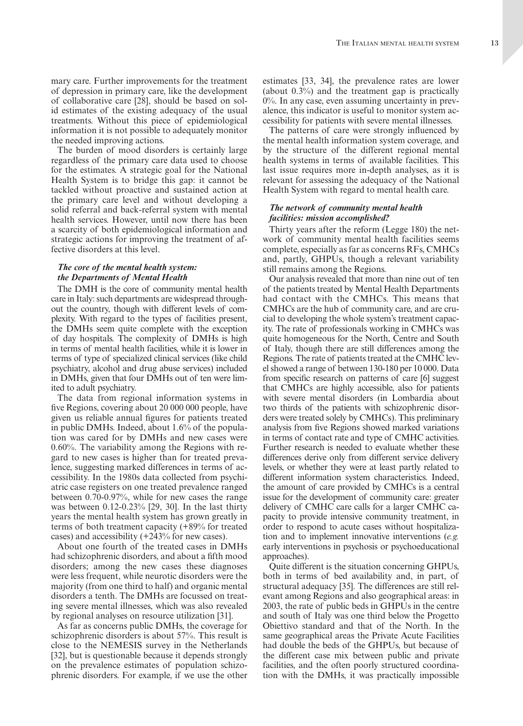mary care. Further improvements for the treatment of depression in primary care, like the development of collaborative care [28], should be based on solid estimates of the existing adequacy of the usual treatments. Without this piece of epidemiological information it is not possible to adequately monitor the needed improving actions.

The burden of mood disorders is certainly large regardless of the primary care data used to choose for the estimates. A strategic goal for the National Health System is to bridge this gap: it cannot be tackled without proactive and sustained action at the primary care level and without developing a solid referral and back-referral system with mental health services. However, until now there has been a scarcity of both epidemiological information and strategic actions for improving the treatment of affective disorders at this level.

## *The core of the mental health system: the Departments of Mental Health*

The DMH is the core of community mental health care in Italy: such departments are widespread throughout the country, though with different levels of complexity. With regard to the types of facilities present, the DMHs seem quite complete with the exception of day hospitals. The complexity of DMHs is high in terms of mental health facilities, while it is lower in terms of type of specialized clinical services (like child psychiatry, alcohol and drug abuse services) included in DMHs, given that four DMHs out of ten were limited to adult psychiatry.

The data from regional information systems in five Regions, covering about 20 000 000 people, have given us reliable annual figures for patients treated in public DMHs. Indeed, about 1.6% of the population was cared for by DMHs and new cases were 0.60%. The variability among the Regions with regard to new cases is higher than for treated prevalence, suggesting marked differences in terms of accessibility. In the 1980s data collected from psychiatric case registers on one treated prevalence ranged between 0.70-0.97%, while for new cases the range was between 0.12-0.23% [29, 30]. In the last thirty years the mental health system has grown greatly in terms of both treatment capacity (+89% for treated cases) and accessibility (+243% for new cases).

About one fourth of the treated cases in DMHs had schizophrenic disorders, and about a fifth mood disorders; among the new cases these diagnoses were less frequent, while neurotic disorders were the majority (from one third to half) and organic mental disorders a tenth. The DMHs are focussed on treating severe mental illnesses, which was also revealed by regional analyses on resource utilization [31].

As far as concerns public DMHs, the coverage for schizophrenic disorders is about 57%. This result is close to the NEMESIS survey in the Netherlands [32], but is questionable because it depends strongly on the prevalence estimates of population schizophrenic disorders. For example, if we use the other estimates [33, 34], the prevalence rates are lower (about 0.3%) and the treatment gap is practically 0%. In any case, even assuming uncertainty in prevalence, this indicator is useful to monitor system accessibility for patients with severe mental illnesses.

The patterns of care were strongly influenced by the mental health information system coverage, and by the structure of the different regional mental health systems in terms of available facilities. This last issue requires more in-depth analyses, as it is relevant for assessing the adequacy of the National Health System with regard to mental health care.

## *The network of community mental health facilities: mission accomplished?*

Thirty years after the reform (Legge 180) the network of community mental health facilities seems complete, especially as far as concerns RFs, CMHCs and, partly, GHPUs, though a relevant variability still remains among the Regions.

Our analysis revealed that more than nine out of ten of the patients treated by Mental Health Departments had contact with the CMHCs. This means that CMHCs are the hub of community care, and are crucial to developing the whole system's treatment capacity. The rate of professionals working in CMHCs was quite homogeneous for the North, Centre and South of Italy, though there are still differences among the Regions. The rate of patients treated at the CMHC level showed a range of between 130-180 per 10 000. Data from specific research on patterns of care [6] suggest that CMHCs are highly accessible, also for patients with severe mental disorders (in Lombardia about two thirds of the patients with schizophrenic disorders were treated solely by CMHCs). This preliminary analysis from five Regions showed marked variations in terms of contact rate and type of CMHC activities. Further research is needed to evaluate whether these differences derive only from different service delivery levels, or whether they were at least partly related to different information system characteristics. Indeed, the amount of care provided by CMHCs is a central issue for the development of community care: greater delivery of CMHC care calls for a larger CMHC capacity to provide intensive community treatment, in order to respond to acute cases without hospitalization and to implement innovative interventions (*e.g.* early interventions in psychosis or psychoeducational approaches).

Quite different is the situation concerning GHPUs, both in terms of bed availability and, in part, of structural adequacy [35]. The differences are still relevant among Regions and also geographical areas: in 2003, the rate of public beds in GHPUs in the centre and south of Italy was one third below the Progetto Obiettivo standard and that of the North. In the same geographical areas the Private Acute Facilities had double the beds of the GHPUs, but because of the different case mix between public and private facilities, and the often poorly structured coordination with the DMHs, it was practically impossible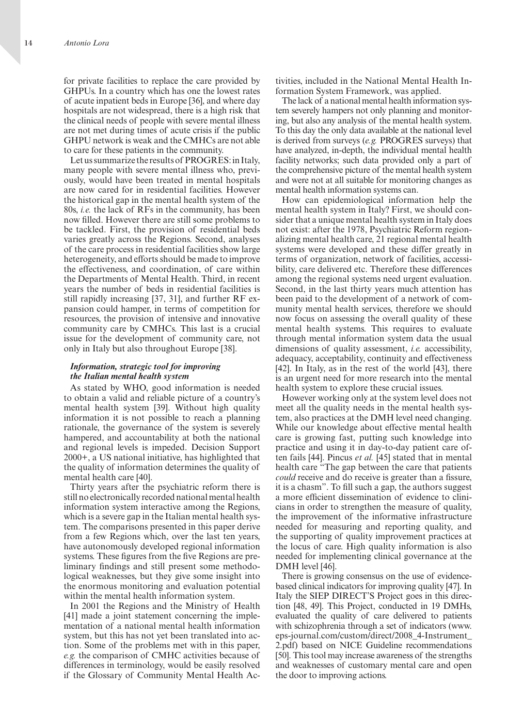for private facilities to replace the care provided by GHPUs. In a country which has one the lowest rates of acute inpatient beds in Europe [36], and where day hospitals are not widespread, there is a high risk that the clinical needs of people with severe mental illness are not met during times of acute crisis if the public GHPU network is weak and the CMHCs are not able to care for these patients in the community.

Let us summarize the results of PROGRES: in Italy, many people with severe mental illness who, previously, would have been treated in mental hospitals are now cared for in residential facilities. However the historical gap in the mental health system of the 80s, *i.e.* the lack of RFs in the community, has been now filled. However there are still some problems to be tackled. First, the provision of residential beds varies greatly across the Regions. Second, analyses of the care process in residential facilities show large heterogeneity, and efforts should be made to improve the effectiveness, and coordination, of care within the Departments of Mental Health. Third, in recent years the number of beds in residential facilities is still rapidly increasing [37, 31], and further RF expansion could hamper, in terms of competition for resources, the provision of intensive and innovative community care by CMHCs. This last is a crucial issue for the development of community care, not only in Italy but also throughout Europe [38].

## *Information, strategic tool for improving the Italian mental health system*

As stated by WHO, good information is needed to obtain a valid and reliable picture of a country's mental health system [39]. Without high quality information it is not possible to reach a planning rationale, the governance of the system is severely hampered, and accountability at both the national and regional levels is impeded. Decision Support 2000+, a US national initiative, has highlighted that the quality of information determines the quality of mental health care [40].

Thirty years after the psychiatric reform there is still no electronically recorded national mental health information system interactive among the Regions, which is a severe gap in the Italian mental health system. The comparisons presented in this paper derive from a few Regions which, over the last ten years, have autonomously developed regional information systems. These figures from the five Regions are preliminary findings and still present some methodological weaknesses, but they give some insight into the enormous monitoring and evaluation potential within the mental health information system.

In 2001 the Regions and the Ministry of Health [41] made a joint statement concerning the implementation of a national mental health information system, but this has not yet been translated into action. Some of the problems met with in this paper, *e.g.* the comparison of CMHC activities because of differences in terminology, would be easily resolved if the Glossary of Community Mental Health activities, included in the National Mental Health information System Framework, was applied.

The lack of a national mental health information system severely hampers not only planning and monitoring, but also any analysis of the mental health system. To this day the only data available at the national level is derived from surveys (*e.g.* PROGRES surveys) that have analyzed, in-depth, the individual mental health facility networks; such data provided only a part of the comprehensive picture of the mental health system and were not at all suitable for monitoring changes as mental health information systems can.

How can epidemiological information help the mental health system in Italy? First, we should consider that a unique mental health system in Italy does not exist: after the 1978, Psychiatric Reform regionalizing mental health care, 21 regional mental health systems were developed and these differ greatly in terms of organization, network of facilities, accessibility, care delivered etc. Therefore these differences among the regional systems need urgent evaluation. Second, in the last thirty years much attention has been paid to the development of a network of community mental health services, therefore we should now focus on assessing the overall quality of these mental health systems. This requires to evaluate through mental information system data the usual dimensions of quality assessment, *i.e.* accessibility, adequacy, acceptability, continuity and effectiveness [42]. In Italy, as in the rest of the world [43], there is an urgent need for more research into the mental health system to explore these crucial issues.

However working only at the system level does not meet all the quality needs in the mental health system, also practices at the DMH level need changing. While our knowledge about effective mental health care is growing fast, putting such knowledge into practice and using it in day-to-day patient care often fails [44]. Pincus *et al.* [45] stated that in mental health care "The gap between the care that patients *could* receive and do receive is greater than a fissure, it is a chasm". To fill such a gap, the authors suggest a more efficient dissemination of evidence to clinicians in order to strengthen the measure of quality, the improvement of the informative infrastructure needed for measuring and reporting quality, and the supporting of quality improvement practices at the locus of care. High quality information is also needed for implementing clinical governance at the DMH level [46].

There is growing consensus on the use of evidencebased clinical indicators for improving quality [47]. In Italy the SIEP DIRECT'S Project goes in this direction [48, 49]. This Project, conducted in 19 DMHs, evaluated the quality of care delivered to patients with schizophrenia through a set of indicators (www. eps-journal.com/custom/direct/2008\_4-Instrument\_ 2.pdf) based on NICE Guideline recommendations [50]. This tool may increase awareness of the strengths and weaknesses of customary mental care and open the door to improving actions.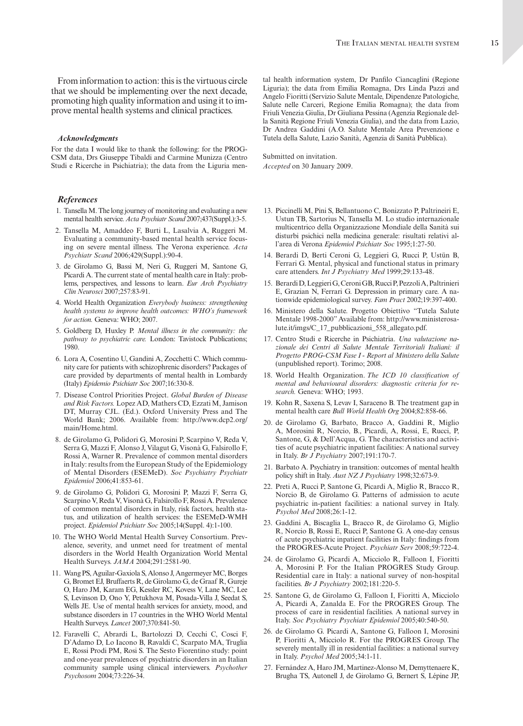#### *Acknowledgments*

For the data I would like to thank the following: for the PROG-CSM data, Drs Giuseppe Tibaldi and Carmine Munizza (Centro Studi e Ricerche in Psichiatria); the data from the Liguria men-

## *References*

- 1. Tansella M. The long journey of monitoring and evaluating a new mental health service. *Acta Psychiatr Scand* 2007;437(Suppl.):3-5.
- 2. Tansella M, Amaddeo F, Burti L, Lasalvia A, Ruggeri M. Evaluating a community-based mental health service focusing on severe mental illness. The Verona experience. *Acta Psychiatr Scand* 2006;429(Suppl.):90-4.
- 3. de Girolamo G, Bassi M, Neri G, Ruggeri M, Santone G, Picardi A. The current state of mental health care in Italy: problems, perspectives, and lessons to learn. *Eur Arch Psychiatry Clin Neurosci* 2007;257:83-91.
- 4. World Health Organization *Everybody business: strengthening health systems to improve health outcomes: WHO's framework for action.* Geneva: WHO; 2007.
- 5. Goldberg D, Huxley P. *Mental illness in the community: the pathway to psychiatric care.* London: Tavistock Publications; 1980.
- 6. Lora A, Cosentino U, Gandini A, Zocchetti C. Which community care for patients with schizophrenic disorders? Packages of care provided by departments of mental health in Lombardy (Italy) *Epidemio Psichiatr Soc* 2007;16:330-8.
- 7. Disease Control Priorities Project. *Global Burden of Disease and Risk Factors.* Lopez AD, Mathers CD, Ezzati M, Jamison DT, Murray CJL. (Ed.). Oxford University Press and The World Bank; 2006. Available from: http://www.dcp2.org/ main/Home.html.
- 8. de Girolamo G, Polidori G, Morosini P, Scarpino V, Reda V, Serra G, Mazzi F, Alonso J, Vilagut G, Visonà G, Falsirollo F, Rossi A, Warner R. Prevalence of common mental disorders in Italy: results from the European Study of the Epidemiology of Mental Disorders (ESEMeD). *Soc Psychiatry Psychiatr Epidemiol* 2006;41:853-61.
- 9. de Girolamo G, Polidori G, Morosini P, Mazzi F, Serra G, Scarpino V, Reda V, Visonà G, Falsirollo F, Rossi A. Prevalence of common mental disorders in Italy, risk factors, health status, and utilization of health services: the ESEMeD-WMH project. *Epidemiol Psichiatr Soc* 2005;14(Suppl. 4):1-100.
- 10. The WHO World Mental Health Survey Consortium. prevalence, severity, and unmet need for treatment of mental disorders in the World Health Organization World Mental Health Surveys. *JAMA* 2004;291:2581-90.
- 11. Wang PS, Aguilar-Gaxiola S, Alonso J, Angermeyer MC, Borges G, Bromet EJ, Bruffaerts R, de Girolamo G, de Graaf R, Gureje O, Haro JM, Karam EG, Kessler RC, Kovess V, Lane MC, Lee S, Levinson D, Ono Y, Petukhova M, Posada-Villa J, Seedat S, Wells JE. Use of mental health services for anxiety, mood, and substance disorders in 17 countries in the WHO World Mental Health Surveys. *Lancet* 2007;370:841-50.
- 12. Faravelli C, Abrardi L, Bartolozzi D, Cecchi C, Cosci F, D'Adamo D, Lo Iacono B, Ravaldi C, Scarpato MA, Truglia E, Rossi Prodi PM, Rosi S. The Sesto Fiorentino study: point and one-year prevalences of psychiatric disorders in an Italian community sample using clinical interviewers. *Psychother Psychosom* 2004;73:226-34.

tal health information system, Dr Panfilo Ciancaglini (Regione Liguria); the data from Emilia Romagna, Drs Linda Pazzi and Angelo Fioritti (Servizio Salute Mentale, Dipendenze Patologiche, Salute nelle Carceri, Regione Emilia Romagna); the data from Friuli Venezia Giulia, Dr Giuliana Pessina (Agenzia Regionale della Sanità Regione Friuli Venezia Giulia), and the data from Lazio, Dr Andrea Gaddini (A.O. Salute Mentale Area Prevenzione e Tutela della Salute, Lazio Sanità, Agenzia di Sanità Pubblica).

Submitted on invitation. *Accepted* on 30 January 2009.

- 13. Piccinelli M, Pini S, Bellantuono C, Bonizzato P, Paltrineiri E, Ustun TB, Sartorius N, Tansella M. Lo studio internazionale multicentrico della Organizzazione Mondiale della Sanità sui disturbi psichici nella medicina generale: risultati relativi all'area di Verona *Epidemiol Psichiatr Soc* 1995;1:27-50.
- 14. Berardi D, Berti Ceroni G, Leggieri G, Rucci P, Ustün B, Ferrari G. Mental, physical and functional status in primary care attenders. *Int J Psychiatry Med* 1999;29:133-48.
- 15. Berardi D, Leggieri G, Ceroni GB, Rucci P, Pezzoli A, Paltrinieri E, Grazian N, Ferrari G. Depression in primary care. A nationwide epidemiological survey. *Fam Pract* 2002;19:397-400.
- 16. Ministero della Salute. Progetto Obiettivo "Tutela Salute mentale 1998-2000" Available from: http://www.ministerosalute.it/imgs/C\_17\_pubblicazioni\_558\_allegato.pdf.
- 17. Centro Studi e Ricerche in Psichiatria. *Una valutazione nazionale dei Centri di Salute Mentale Territoriali Italiani: il Progetto PROG-CSM Fase I - Report al Ministero della Salute*  (unpublished report). Torimo; 2008.
- 18. World Health Organization. *The ICD 10 classification of mental and behavioural disorders: diagnostic criteria for research.* Geneva: WHO; 1993.
- 19. Kohn R, Saxena S, Levav I, Saraceno B. The treatment gap in mental health care *Bull World Health Org* 2004;82:858-66.
- 20. de Girolamo G, Barbato, Bracco A, Gaddini R, Miglio A, Morosini R, Norcio, B., Picardi, A, Rossi, E, Rucci, P, Santone, G, & Dell'Acqua, G. The characteristics and activities of acute psychiatric inpatient facilities: A national survey in Italy. *Br J Psychiatry* 2007;191:170-7.
- 21. Barbato A. Psychiatry in transition: outcomes of mental health policy shift in Italy. *Aust NZ J Psychiatry* 1998;32:673-9.
- 22. Preti A, Rucci P, Santone G, Picardi A, Miglio R, Bracco R, Norcio B, de Girolamo G. Patterns of admission to acute psychiatric in-patient facilities: a national survey in Italy. *Psychol Med* 2008;26:1-12.
- 23. Gaddini A, Biscaglia L, Bracco R, de Girolamo G, Miglio R, Norcio B, Rossi E, Rucci P, Santone G. A one-day census of acute psychiatric inpatient facilities in Italy: findings from the PROGRES-Acute Project. *Psychiatr Serv* 2008;59:722-4.
- 24. de Girolamo G, Picardi A, Micciolo R, Falloon I, Fioritti A, Morosini P. For the Italian PROGRES Study Group. Residential care in Italy: a national survey of non-hospital facilities. *Br J Psychiatry* 2002;181:220-5.
- 25. Santone G, de Girolamo G, Falloon I, Fioritti A, Micciolo A, Picardi A, Zanalda E. For the PROGRES Group. The process of care in residential facilities. A national survey in Italy. *Soc Psychiatry Psychiatr Epidemiol* 2005;40:540-50.
- 26. de Girolamo G. Picardi A, Santone G, Falloon I, Morosini P, Fioritti A, Micciolo R. For the PROGRES Group. The severely mentally ill in residential facilities: a national survey in Italy. *Psychol Med* 2005;34:1-11.
- 27. Fernández A, Haro JM, Martinez-Alonso M, Demyttenaere K, Brugha TS, Autonell J, de Girolamo G, Bernert S, Lépine JP,